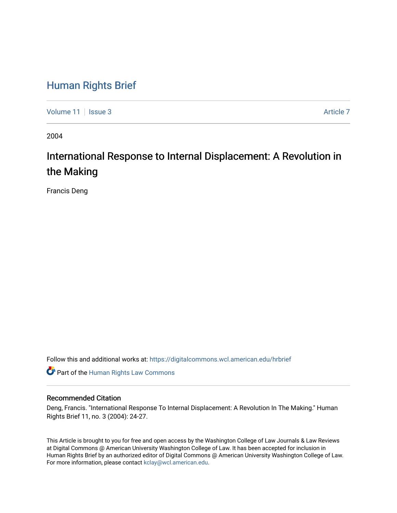# [Human Rights Brief](https://digitalcommons.wcl.american.edu/hrbrief)

[Volume 11](https://digitalcommons.wcl.american.edu/hrbrief/vol11) | [Issue 3](https://digitalcommons.wcl.american.edu/hrbrief/vol11/iss3) [Article 7](https://digitalcommons.wcl.american.edu/hrbrief/vol11/iss3/7) Article 7 Article 7 Article 7 Article 7 Article 7 Article 7

2004

# International Response to Internal Displacement: A Revolution in the Making

Francis Deng

Follow this and additional works at: [https://digitalcommons.wcl.american.edu/hrbrief](https://digitalcommons.wcl.american.edu/hrbrief?utm_source=digitalcommons.wcl.american.edu%2Fhrbrief%2Fvol11%2Fiss3%2F7&utm_medium=PDF&utm_campaign=PDFCoverPages) 

**Part of the Human Rights Law Commons** 

# Recommended Citation

Deng, Francis. "International Response To Internal Displacement: A Revolution In The Making." Human Rights Brief 11, no. 3 (2004): 24-27.

This Article is brought to you for free and open access by the Washington College of Law Journals & Law Reviews at Digital Commons @ American University Washington College of Law. It has been accepted for inclusion in Human Rights Brief by an authorized editor of Digital Commons @ American University Washington College of Law. For more information, please contact [kclay@wcl.american.edu.](mailto:kclay@wcl.american.edu)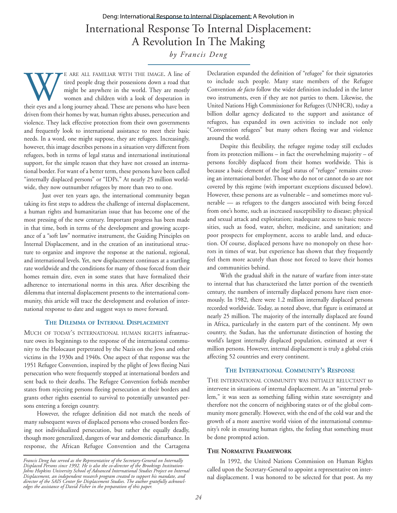# International Response To Internal Displacement: A Revolution In The Making *by Francis Deng* Deng: International Response to Internal Displacement: A Revolution in

E ARE ALL FAMILIAR WITH THE IMAGE. A line of tired people drag their possessions down a road that might be anywhere in the world. They are mostly women and children with a look of desperation in their eyes and a long journ tired people drag their possessions down a road that might be anywhere in the world. They are mostly women and children with a look of desperation in driven from their homes by war, human rights abuses, persecution and violence. They lack effective protection from their own governments and frequently look to international assistance to meet their basic needs. In a word, one might suppose, they are refugees. Increasingly, however, this image describes persons in a situation very different from refugees, both in terms of legal status and international institutional support, for the simple reason that they have not crossed an international border. For want of a better term, these persons have been called "internally displaced persons" or "IDPs." At nearly 25 million worldwide, they now outnumber refugees by more than two to one.

Just over ten years ago, the international community began taking its first steps to address the challenge of internal displacement, a human rights and humanitarian issue that has become one of the most pressing of the new century. Important progress has been made in that time, both in terms of the development and growing acceptance of a "soft law" normative instrument, the Guiding Principles on Internal Displacement, and in the creation of an institutional structure to organize and improve the response at the national, regional, and international levels. Yet, new displacement continues at a startling rate worldwide and the conditions for many of those forced from their homes remain dire, even in some states that have formalized their adherence to international norms in this area. After describing the dilemma that internal displacement presents to the international community, this article will trace the development and evolution of international response to date and suggest ways to move forward.

# **THE DILEMMA OF INTERNAL DISPLACEMENT**

MUCH OF TODAY'S INTERNATIONAL HUMAN RIGHTS infrastructure owes its beginnings to the response of the international community to the Holocaust perpetrated by the Nazis on the Jews and other victims in the 1930s and 1940s. One aspect of that response was the 1951 Refugee Convention, inspired by the plight of Jews fleeing Nazi persecution who were frequently stopped at international borders and sent back to their deaths. The Refugee Convention forbids member states from rejecting persons fleeing persecution at their borders and grants other rights essential to survival to potentially unwanted persons entering a foreign country.

However, the refugee definition did not match the needs of many subsequent waves of displaced persons who crossed borders fleeing not individualized persecution, but rather the equally deadly, though more generalized, dangers of war and domestic disturbance. In response, the African Refugee Convention and the Cartagena

Declaration expanded the definition of "refugee" for their signatories to include such people. Many state members of the Refugee Convention *de facto* follow the wider definition included in the latter two instruments, even if they are not parties to them. Likewise, the United Nations High Commissioner for Refugees (UNHCR), today a billion dollar agency dedicated to the support and assistance of refugees, has expanded its own activities to include not only "Convention refugees" but many others fleeing war and violence around the world.

Despite this flexibility, the refugee regime today still excludes from its protection millions – in fact the overwhelming majority – of persons forcibly displaced from their homes worldwide. This is because a basic element of the legal status of "refugee" remains crossing an international border. Those who do not or cannot do so are not covered by this regime (with important exceptions discussed below). However, these persons are as vulnerable – and sometimes more vulnerable — as refugees to the dangers associated with being forced from one's home, such as increased susceptibility to disease; physical and sexual attack and exploitation; inadequate access to basic necessities, such as food, water, shelter, medicine, and sanitation; and poor prospects for employment, access to arable land, and education. Of course, displaced persons have no monopoly on these horrors in times of war, but experience has shown that they frequently feel them more acutely than those not forced to leave their homes and communities behind.

With the gradual shift in the nature of warfare from inter-state to internal that has characterized the latter portion of the twentieth century, the numbers of internally displaced persons have risen enormously. In 1982, there were 1.2 million internally displaced persons recorded worldwide. Today, as noted above, that figure is estimated at nearly 25 million. The majority of the internally displaced are found in Africa, particularly in the eastern part of the continent. My own country, the Sudan, has the unfortunate distinction of hosting the world's largest internally displaced population, estimated at over 4 million persons. However, internal displacement is truly a global crisis affecting 52 countries and every continent.

## **THE INTERNATIONAL COMMUNITY'S RESPONSE**

THE INTERNATIONAL COMMUNITY WAS INITIALLY RELUCTANT to intervene in situations of internal displacement. As an "internal problem," it was seen as something falling within state sovereignty and therefore not the concern of neighboring states or of the global community more generally. However, with the end of the cold war and the growth of a more assertive world vision of the international community's role in ensuring human rights, the feeling that something must be done prompted action.

#### **THE NORMATIVE FRAMEWORK**

In 1992, the United Nations Commission on Human Rights called upon the Secretary-General to appoint a representative on internal displacement. I was honored to be selected for that post. As my

*Francis Deng has served as the Representative of the Secretary-General on Internally Displaced Persons since 1992. He is also the co-director of the Brookings Institution-Johns Hopkins University School of Advanced International Studies Project on Internal Displacement, an independent research program created to support his mandate, and director of the SAIS Center for Displacement Studies. The author gratefully acknowledges the assistance of David Fisher in the preparation of this paper.*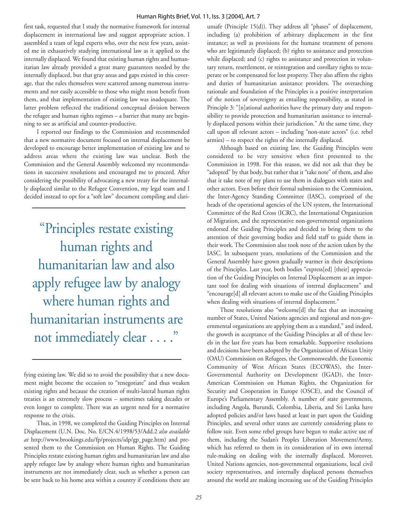first task, requested that I study the normative framework for internal displacement in international law and suggest appropriate action. I assembled a team of legal experts who, over the next few years, assisted me in exhaustively studying international law as it applied to the internally displaced. We found that existing human rights and humanitarian law already provided a great many guarantees needed by the internally displaced, but that gray areas and gaps existed in this coverage, that the rules themselves were scattered among numerous instruments and not easily accessible to those who might most benefit from them, and that implementation of existing law was inadequate. The latter problem reflected the traditional conceptual division between the refugee and human rights regimes – a barrier that many are beginning to see as artificial and counter-productive.

I reported our findings to the Commission and recommended that a new normative document focused on internal displacement be developed to encourage better implementation of existing law and to address areas where the existing law was unclear. Both the Commission and the General Assembly welcomed my recommendations in successive resolutions and encouraged me to proceed. After considering the possibility of advocating a new treaty for the internally displaced similar to the Refugee Convention, my legal team and I decided instead to opt for a "soft law" document compiling and clari-

"Principles restate existing human rights and humanitarian law and also apply refugee law by analogy where human rights and humanitarian instruments are not immediately clear . . . ."

Thus, in 1998, we completed the Guiding Principles on Internal Displacement (U.N. Doc. No. E/CN.4/1998/53/Add.2 *also available at* http://www.brookings.edu/fp/projects/idp/gp\_page.htm) and presented them to the Commission on Human Rights. The Guiding Principles restate existing human rights and humanitarian law and also apply refugee law by analogy where human rights and humanitarian instruments are not immediately clear, such as whether a person can be sent back to his home area within a country if conditions there are

unsafe (Principle 15(d)). They address all "phases" of displacement, including (a) prohibition of arbitrary displacement in the first instance; as well as provisions for the humane treatment of persons who are legitimately displaced; (b) rights to assistance and protection while displaced; and (c) rights to assistance and protection in voluntary return, resettlement, or reintegration and corollary rights to recuperate or be compensated for lost property. They also affirm the rights and duties of humanitarian assistance providers. The overarching rationale and foundation of the Principles is a positive interpretation of the notion of sovereignty as entailing responsibility, as stated in Principle 3: "[n]ational authorities have the primary duty and responsibility to provide protection and humanitarian assistance to internally displaced persons within their jurisdiction." At the same time, they call upon all relevant actors – including "non-state actors" (i.e. rebel armies) – to respect the rights of the internally displaced.

Although based on existing law, the Guiding Principles were considered to be very sensitive when first presented to the Commission in 1998. For this reason, we did not ask that they be "adopted" by that body, but rather that it "take note" of them, and also that it take note of my plans to use them in dialogues with states and other actors. Even before their formal submission to the Commission, the Inter-Agency Standing Committee (IASC), comprised of the heads of the operational agencies of the UN system, the International Committee of the Red Cross (ICRC), the International Organization of Migration, and the representative non-governmental organizations endorsed the Guiding Principles and decided to bring them to the attention of their governing bodies and field staff to guide them in their work. The Commission also took note of the action taken by the IASC. In subsequent years, resolutions of the Commission and the General Assembly have grown gradually warmer in their descriptions of the Principles. Last year, both bodies "express[ed] [their] appreciation of the Guiding Principles on Internal Displacement as an important tool for dealing with situations of internal displacement" and "encourage[d] all relevant actors to make use of the Guiding Principles when dealing with situations of internal displacement."

These resolutions also "welcome[d] the fact that an increasing number of States, United Nations agencies and regional and non-governmental organizations are applying them as a standard," and indeed, the growth in acceptance of the Guiding Principles at all of these levels in the last five years has been remarkable. Supportive resolutions and decisions have been adopted by the Organization of African Unity (OAU) Commission on Refugees, the Commonwealth, the Economic Community of West African States (ECOWAS), the Inter-Governmental Authority on Development (IGAD), the Inter-American Commission on Human Rights, the Organization for Security and Cooperation in Europe (OSCE), and the Council of Europe's Parliamentary Assembly. A number of state governments, including Angola, Burundi, Colombia, Liberia, and Sri Lanka have adopted policies and/or laws based at least in part upon the Guiding Principles, and several other states are currently considering plans to follow suit. Even some rebel groups have begun to make active use of them, including the Sudan's Peoples Liberation Movement/Army, which has referred to them in its consideration of its own internal rule-making on dealing with the internally displaced. Moreover, United Nations agencies, non-governmental organizations, local civil society representatives, and internally displaced persons themselves around the world are making increasing use of the Guiding Principles

fying existing law. We did so to avoid the possibility that a new document might become the occasion to "renegotiate" and thus weaken existing rights and because the creation of multi-lateral human rights treaties is an extremely slow process – sometimes taking decades or even longer to complete. There was an urgent need for a normative response to the crisis.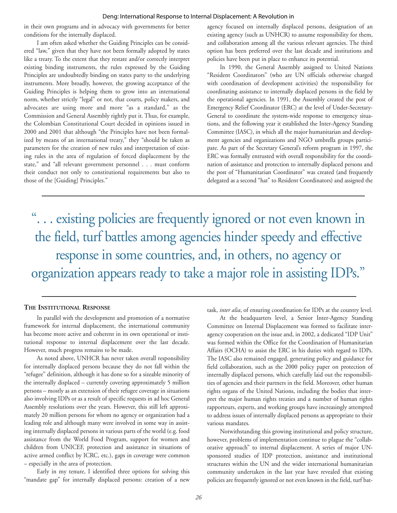#### Deng: International Response to Internal Displacement: A Revolution in

in their own programs and in advocacy with governments for better conditions for the internally displaced.

I am often asked whether the Guiding Principles can be considered "law," given that they have not been formally adopted by states like a treaty. To the extent that they restate and/or correctly interpret existing binding instruments, the rules expressed by the Guiding Principles are undoubtedly binding on states party to the underlying instruments. More broadly, however, the growing acceptance of the Guiding Principles is helping them to grow into an international norm, whether strictly "legal" or not, that courts, policy makers, and advocates are using more and more "as a standard," as the Commission and General Assembly rightly put it. Thus, for example, the Colombian Constitutional Court decided in opinions issued in 2000 and 2001 that although "the Principles have not been formalized by means of an international treaty," they "should be taken as parameters for the creation of new rules and interpretation of existing rules in the area of regulation of forced displacement by the state," and "all relevant government personnel . . . must conform their conduct not only to constitutional requirements but also to those of the [Guiding] Principles."

agency focused on internally displaced persons, designation of an existing agency (such as UNHCR) to assume responsibility for them, and collaboration among all the various relevant agencies. The third option has been preferred over the last decade and institutions and policies have been put in place to enhance its potential.

In 1990, the General Assembly assigned to United Nations "Resident Coordinators" (who are UN officials otherwise charged with coordination of development activities) the responsibility for coordinating assistance to internally displaced persons in the field by the operational agencies. In 1991, the Assembly created the post of Emergency Relief Coordinator (ERC) at the level of Under-Secretary-General to coordinate the system-wide response to emergency situations, and the following year it established the Inter-Agency Standing Committee (IASC), in which all the major humanitarian and development agencies and organizations and NGO umbrella groups participate. As part of the Secretary General's reform program in 1997, the ERC was formally entrusted with overall responsibility for the coordination of assistance and protection to internally displaced persons and the post of "Humanitarian Coordinator" was created (and frequently delegated as a second "hat" to Resident Coordinators) and assigned the

". . . existing policies are frequently ignored or not even known in the field, turf battles among agencies hinder speedy and effective response in some countries, and, in others, no agency or organization appears ready to take a major role in assisting IDPs."

#### **THE INSTITUTIONAL RESPONSE**

In parallel with the development and promotion of a normative framework for internal displacement, the international community has become more active and coherent in its own operational or institutional response to internal displacement over the last decade. However, much progress remains to be made.

As noted above, UNHCR has never taken overall responsibility for internally displaced persons because they do not fall within the "refugee" definition, although it has done so for a sizeable minority of the internally displaced – currently covering approximately 5 million persons – mostly as an extension of their refugee coverage in situations also involving IDPs or as a result of specific requests in ad hoc General Assembly resolutions over the years. However, this still left approximately 20 million persons for whom no agency or organization had a leading role and although many were involved in some way in assisting internally displaced persons in various parts of the world (e.g. food assistance from the World Food Program, support for women and children from UNICEF, protection and assistance in situations of active armed conflict by ICRC, etc.), gaps in coverage were common – especially in the area of protection.

Early in my tenure, I identified three options for solving this "mandate gap" for internally displaced persons: creation of a new

task, *inter alia*, of ensuring coordination for IDPs at the country level.

At the headquarters level, a Senior Inter-Agency Standing Committee on Internal Displacement was formed to facilitate interagency cooperation on the issue and, in 2002, a dedicated "IDP Unit" was formed within the Office for the Coordination of Humanitarian Affairs (OCHA) to assist the ERC in his duties with regard to IDPs. The IASC also remained engaged, generating policy and guidance for field collaboration, such as the 2000 policy paper on protection of internally displaced persons, which carefully laid out the responsibilities of agencies and their partners in the field. Moreover, other human rights organs of the United Nations, including the bodies that interpret the major human rights treaties and a number of human rights rapporteurs, experts, and working groups have increasingly attempted to address issues of internally displaced persons as appropriate to their various mandates.

Notwithstanding this growing institutional and policy structure, however, problems of implementation continue to plague the "collaborative approach" to internal displacement. A series of major UNsponsored studies of IDP protection, assistance and institutional structures within the UN and the wider international humanitarian community undertaken in the last year have revealed that existing policies are frequently ignored or not even known in the field, turf bat